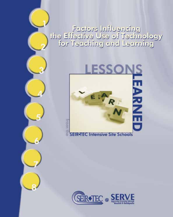### enteulinl zustaat<br>Yeolonideel io ezU evitaeiis entr<br>Teaching and Learning



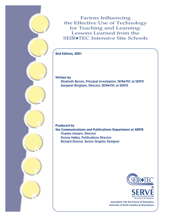Factors Influencing the Effective Use of Technology for Teaching and Learning: Lessons Learned from the SEIR◆TEC Intensive Site Schools

### **2nd Edition, 2001**

**Written by**

Elizabeth Byrom, Principal Investigator, SEIR◆TEC at SERVE Margaret Bingham, Director, SEIR◆TEC at SERVE

**Produced by the Communications and Publications Department at SERVE** Charles Ahearn, Director Donna Nalley, Publications Director Richard Emond, Senior Graphic Designer



Associated with the School of Education, University of North Carolina at Greensboro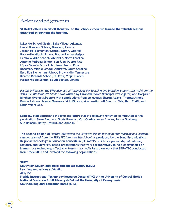### Acknowledgments

**SEIR**◆**TEC offers a heartfelt thank you to the schools where we learned the valuable lessons described throughout the booklet.**

Lakeside School District, Lake Village, Arkansas Laurel Nokomis School, Nokomis, Florida Jordan Hill Elementary School, Griffin, Georgia Booneville Middle School, Booneville, Mississippi Central Middle School, Whiteville, North Carolina Antonio Pedreira School, San Juan, Puerto Rico López Sicardó School, San Juan, Puerto Rico Rosemary Middle School, Andrews, South Carolina East Side Elementary School, Brownsville, Tennessee Ricardo Richards School, St. Croix, Virgin Islands Halifax Middle School, South Boston, Virginia

*Factors Influencing the Effective Use of Technology for Teaching and Learning: Lessons Learned from the SEIR*◆*TEC Intensive Site Schools* was written by Elizabeth Byrom (Principal Investigator) and Margaret Bingham (Project Director) with contributions from colleagues Sharon Adams, Theresa Arnold, Donna Ashmus, Jeanne Guerrero, Vicki Dimock, Mike Martin, Jeff Sun, Lori Tate, Beth Thrift, and Linda Valenzuela.

SEIR◆TEC staff appreciate the time and effort that the following reviewers contributed to this publication: Steve Bingham, Gloria Bowman, Curt Cearley, Karen Charles, Lynda Ginsburg, Sue Hamann, Kathy Howard, and Anna Li.

This second edition of *Factors Influencing the Effective Use of Technologyfor Teaching and Learning: Lessons Learned from the SEIR*◆*TEC Intensive Site Schools* is produced by the SouthEast Initiatives Regional Technology in Education Consortium (SEIR◆TEC), which is a partnership of national, regional, and university-based organizations that work collaboratively to help communities of learners use technology effectively. *Lessons Learned* is based on work that SEIR◆TEC conducted from 1995–2000 and involved the following organizations:

### **SERVE**

**Southwest Educational Development Laboratory (SEDL) Learning Innovations at WestEd AEL, Inc. Florida Instructional Technology Resource Center (ITRC) at the University of Central Florida National Center on Adult Literacy (NCAL) at the University of Pennsylvania Southern Regional Education Board (SREB)**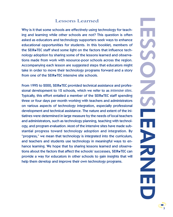### Lessons Learned

Why is it that some schools are effectively using technology for teaching and learning while other schools are not? This question is often asked as educators and technology supporters seek ways to enhance educational opportunities for students. In this booklet, members of the SEIR◆TEC staff shed some light on the factors that influence technology adoption by sharing some of the lessons learned and observations made from work with resource-poor schools across the region. Accompanying each lesson are suggested steps that educators might take in order to move their technology programs forward and a story from one of the SEIR◆TEC intensive site schools.

From 1995 to 2000, SEIR◆TEC provided technical assistance and professional development to 12 schools, which we refer to as *intensive sites*. Typically, this effort entailed a member of the SEIR◆TEC staff spending three or four days per month working with teachers and administrators on various aspects of technology integration, especially professional development and technical assistance. The nature and extent of the initiatives were determined in large measure by the needs of local teachers and administrators, such as technology planning, teaching with technology, and program evaluation. Most of the intensive sites have made substantial progress toward technology adoption and integration. By "progress," we mean that technology is integrated into the curriculum, and teachers and students use technology in meaningful ways to enhance learning. We hope that by sharing lessons learned and observations about the factors that affect the schools' successes, SEIR◆TEC can provide a way for educators in other schools to gain insights that will help them develop and improve their own technology programs.

3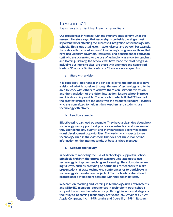### Lesson #1 Leadership is the key ingredient.

Our experiences in working with the intensive sites confirm what the research literature says, that leadership is probably the single most important factor affecting the successful integration of technology into schools. This is true at all levels—state, district, and school. For example, the states with the most successful technology programs are those that have had visionary governors, legislators, and department of education staff who are committed to the use of technology as a tool for teaching and learning. Similarly, the schools that have made the most progress, including our intensive sites, are those with energetic and committed leaders. What do effective leaders do? Here are some specifics.

**a. Start with a vision.**

*1*

It is especially important at the school level for the principal to have a vision of what is possible through the use of technology and to be able to work with others to achieve the vision. Without this vision and the translation of the vision into action, lasting school improvement is almost impossible. The schools in which SEIR◆TEC has had the greatest impact are the ones with the strongest leaders—leaders who are committed to helping their teachers and students use technology effectively.

### **b. Lead by example.**

Effective principals lead by example. They have a clear idea about how technology can support best practices in instruction and assessment; they use technology fluently; and they participate actively in professional development opportunities. The leader who expects to see technology used in the classroom but does not use e-mail or find information on the Internet sends, at best, a mixed message.

**c. Support the faculty.**

In addition to modeling the use of technology, supportive school principals highlight the efforts of teachers who attempt to use technology to improve teaching and learning. They do so in meaningful ways, such as providing opportunities for teachers to make presentations at state technology conferences or to participate in technology demonstration projects. Effective leaders also attend professional development sessions with their teaching staff.

Research on teaching and learning in technology-rich environments and SEIR◆TEC members' experiences in technology-poor schools support the notion that educators go through incremental stages on their way to becoming technology proficient (cf., Dwyer et al, 1991; Apple Computer, Inc., 1995; Lemke and Coughlin, 1998.). Research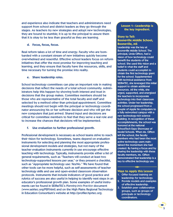and experience also indicate that teachers and administrators need support from school and district leaders as they go through the stages. As teachers try new strategies and adopt new technologies, they are bound to stumble; it is up to the principal to assure them that it is okay to be less than graceful as they are learning.

**d. Focus, focus, focus.**

Real reform takes a lot of time and energy. Faculty who are bombarded with a constant stream of new initiatives quickly become overwhelmed and resentful. Effective school leaders focus on reform initiatives that offer the most promise for improving teaching and learning, and they ensure that faculty have the resources, skills, and time necessary for turning the promise into reality.

### **e. Share leadership roles.**

School technology committees can play an important role in making decisions that reflect the needs of a total school community. Administrators help this happen by showing both interest and trust in decisions that the group makes. Committee members should be those who are representative of the total faculty and staff and selected by a method other than principal-appointment. Committee meetings should not begin with the principal or technology coordinator announcing his or her software decision and who will get the new computers that just arrived. Shared input and decisions are critical for committee members to feel that they serve a real role and to increase the chances that decisions will be implemented.

### **f. Use evaluation to further professional growth.**

Professional development is necessary as school teams strive to reach their vision for technology. Sometimes, teams depend on evaluation instruments for selecting and planning the most appropriate professional development models and strategies, but not many of the teacher evaluation instruments currently in use encourage effective teaching with technology. Typically, instruments provide either a list of general requirements, such as "Teachers will conduct at least two technology-supported lessons per year," or they present a checklist, such as "Appropriate technology use: Yes/No." We have found that other tools can be more helpful, such as self-assessments of teacher technology skills and use and open-ended classroom observation protocols. Instruments that include indicators of good practice and rubrics of success are also useful in helping to identify next steps in an educator's professional growth plan. Some examples of useful instruments can be found in SEIR◆TEC's *Planning into Practice* document (www.seirtec.org/P2P.html) and on the High Plains Regional Technology in Education Consortium's website at http://profiler.hprtec.org.

### **Lesson 1—Leadership is the key ingredient.**

### **Story to Tell:**

### **Booneville Middle School, Booneville, MS**

Leadership was the key at Booneville Middle School. The principal, Linda Clifton, had a vision of how technology could benefit the students of the school. She used this vision and a belief in what the staff and students could accomplish to obtain the first technology grant for the school. Supplemented with technical assistance from SEIR◆TEC, she leveraged this initial support to obtain additional resources. All the while, she urged, supported, and energized the teachers to incorporate technology into their classroom activities. Under her leadership, the school progressed from a couple of Apple IIe computers to a fully networked campus with a new technology-rich science building. In recognition of these accomplishments, the school was honored at the national SchoolTech Expo Showcase of Model Schools. When Ms. Clifton left the school, the faculty members who had been the most active technology users maintained the momentum she had created. By having a focus and by sharing the leadership with these faculty members, Ms. Clifton demonstrated that leadership is a key to effective technology use.

### **Ways to Apply this Lesson**

◆ ◆ ◆

- 1. Offer focused training on leadership for technology.
- 2. Provide models and examples of effective leadership.
- 3. Establish peer collaboration groups, such as groups of principals or technology coordinators.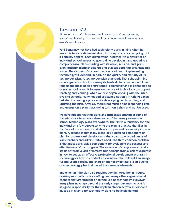### Lesson  $#2$ If you don't know where you're going, you're likely to wind up somewhere else. —Yogi Berra

Yogi Berra may not have had technology plans in mind when he made his famous statement about knowing where you're going, but it certainly applies. Each organization, whether it is a district or an individual school, needs to spend time developing and updating a comprehensive plan—starting with its vision, mission, and goals. Every decision made should be one that supports the organization's vision. The degree of success that a school has in implementing technology will depend, in part, on the quality and maturity of its technology plan. A technology plan that reads like a shopping list cannot guide a school in making its hardest decisions. A useful plan reflects the ideas of an entire school community and is connected to overall school goals. It focuses on the use of technology to support teaching and learning. When we first began working with the intensive site schools, many needed assistance not only in writing a plan, but also in creating a process for developing, implementing, and updating the plan. After all, there's not much point in spending time and energy on a plan that's going to sit on a shelf and not be used.

We have noticed that the plans and processes created at some of the intensive site schools share some of the same problems as school technology plans everywhere. The first is a tendency for one individual or a few people to write the plan, a practice that flies in the face of the notion of stakeholder buy-in and community involvement. A second is that many plans lack a detailed component or plan for professional development that covers the broad range of skills teachers and administrators need. The third common problem is that most plans lack a component for evaluating the success and effectiveness of the program. The omission of components usually stems not from a lack of interest but perhaps from a lack of expertise in how to set up an effective professional development program in technology or how to conduct an evaluation that will yield meaningful and useful results. The chart on the following page is an outline of a technology plan that has all the essential elements.

Implementing the plan also requires working together in groups, devising new patterns for staffing, and many other organizational changes that are brought on by the use of technology. However, many plans never go beyond the early stages because no one is assigned responsibility for the implementation activities. Someone must be in charge for technology plans to be implemented.

*2*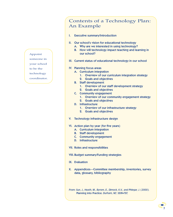Appoint someone in

your school

to be the technology

coordinator.

### Contents of a Technology Plan: An Example

- I. Executive summary/Introduction
- II. Our school's vision for educational technology
	- A. Why are we interested in using technology?
	- B. How will technology impact teaching and learning in our school?
- III. Current status of educational technology in our school
- IV. Planning focus areas
	- A. Curriculum integration
		- 1. Overview of our curriculum integration strategy
		- 2. Goals and objectives
	- B. Staff development
		- 1. Overview of our staff development strategy
		- 2. Goals and objectives
	- C. Community engagement
		- 1. Overview of our community engagement strategy
		- 2. Goals and objectives
	- D. Infrastructure
		- 1. Overview of our infrastructure strategy
		- 2. Goals and objectives
- V. Technology infrastructure design
- VI. Action plan by year (for five years)
	- A. Curriculum integration
	- B. Staff development
	- C. Community engagement
	- D. Infrastructure
- VII. Roles and responsibilities
- VIII.Budget summary/Funding strategies
- IX. Evaluation
- X. Appendices—Committee membership, inventories, survey data, glossary, bibliography

*From: Sun, J., Heath, M., Byrom, E., Dimock, K.V., and Phlegar, J. (2000).* Planning into Practice*. Durham, NC: SEIR*◆*TEC*

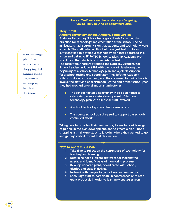### **Lesson 2—If you don't know where you're going, you're likely to wind up somewhere else.**

### **Story to Tell:**

**Andrews Elementary School, Andrews, South Carolina** Andrews Elementary School had a good basis for setting the direction for technology implementation at the school. The administrators had a strong vision that students and technology were a match. The staff believed this, but there just had not been sufficient time to develop a technology plan that addressed this vision and belief. A SEIR◆TEC School Leadership Academy provided them the vehicle to accomplish this task. The team from Andrews attended the SEIR◆TEC Academy for School Leaders in June 1999 with the goal of developing the beginning of a school technology plan and a job description for a school technology coordinator. They left the Academy with both documents in hand, and they returned to their school to involve the staff and administration. By the end of that school year, they had reached several important milestones:

- The school hosted a community-wide open house to celebrate the successful development of the new technology plan with almost all staff involved.
- A school technology coordinator was onsite.
- The county school board agreed to support the school's continued efforts.

Taking time to broaden their perspective, to involve a wide range of people in the plan development, and to create a plan—not a shopping list—all were steps to knowing where they wanted to go and getting started toward that destination.

◆ ◆ ◆

### **Ways to Apply this Lesson**

- 1. Take time to reflect on the current use of technology for teaching and learning.
- 2. Determine needs, create strategies for meeting the needs, and identify ways of monitoring progress.
- 3. Develop updated plans, coordinated with school, district, and state initiatives.
- 4. Network with people to gain a broader perspective.
- 5. Encourage staff to participate in conferences or to read grant proposals in order to learn new strategies from

A technology plan that reads like a shopping list cannot guide a school in making its hardest decisions.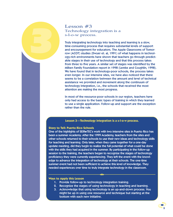

Truly integrating technology into teaching and learning is a slow, time-consuming process that requires substantial levels of support and encouragement for educators. The Apple Classrooms of Tomorrow (ACOT) studies (Dwyer et. al, 1991) of what happens in technology-rich environments have shown that teachers go through predictable stages in their use of technology and that this process takes from three to five years. A similar set of stages was identified by the Milken Family Foundation report in 1998 (Lemke and Coughlin, 1998). We have found that in technology-poor schools, the process takes even longer. In our intensive sites, we have also noticed that there seems to be a correlation between the amount and level of technical assistance we provided and movement along the continuum of technology integration, i.e., the schools that received the most attention are making the most progress.

In most of the resource-poor schools in our region, teachers have only had access to the basic types of training in which they learned to use a single application. Follow-up and support are the exception rather than the rule.

### **Lesson 3—Technology integration is a s-l-o-w process.**

### **Story to Tell: Puerto Rico Schools**

*3*

One of the highlights of SEIR◆TEC's work with two intensive sites in Puerto Rico has been a summer Academy. After the 1999 Academy, teachers from the sites and other schools returned to their schools to use their new ideas and technology skills for teaching and learning. Only later, when they came together for a one-day update meeting, did they begin to realize the full potential of what could be done with the skills they had acquired in the summer. By participating in the follow-up session to the training, the teachers began to recognize the stages of technology proficiency they were currently experiencing. They left the event with the knowledge to advance the integration of technology at their schools. The one-time summer event had not been sufficient to achieve this level of knowledge. They needed experiences over time to truly integrate technology in the classroom.

### **Ways to Apply this Lesson**

- 1. Provide follow-up to technology integration training.
- 2. Recognize the stages of using technology in teaching and learning.

◆ ◆ ◆

3. Acknowledge that using technology is an up-and-down process. You might be up in using one resource and technique but starting at the bottom with each new initiative.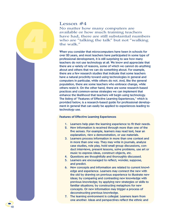### Lesson #4

*4*

No matter how many computers are available or how much training teachers have had, there are still substantial numbers who are "talking the talk" but not "walking the walk."

When you consider that microcomputers have been in schools for over 20 years, and most teachers have participated in some type of professional development, it is still surprising to see how many teachers do not use technology at all. We know and appreciate that there are a variety of reasons, some of which we cannot do anything about and others that we can do something about. For example, there are a few research studies that indicate that some teachers have a natural proclivity toward using technologies in general and computers in particular, while others do not. And, like the general population, there are some teachers who embrace change, while others resist it. On the other hand, there are some research-based practices and common-sense strategies we can implement that enhance the likelihood that teachers will begin using technology. The listing of "Features of Effective Learning Experiences," which is provided below, is a research-based guide for professional development in general that can easily be applied to experiences leading to technology use.

### **Features of Effective Learning Experiences**

10

- 1. Learners help plan the learning experience to fit their needs.
- 2. New information is received through more than one of the five senses. For example, learners may read text, hear an explanation, view a demonstration, or use materials.
- 3. Learners process information in more than one context and in more than one way. They may write in journals, analyze case studies, role play, hold small group discussions, conduct interviews, present lessons, solve problems, use art or music to express ideas, construct objects, etc.
- 4. Questions are thoughtfully and thoroughly discussed.
- 5. Learners are encouraged to reflect, wonder, suppose, and predict.
- 6. New concepts and information are related to current knowledge and experience. Learners may connect the new with the old by drawing on previous experience to illustrate new ideas; by comparing and contrasting new knowledge with previous knowledge; by applying new strategies or skills to familiar situations; by constructing metaphors for new concepts. Or new information may trigger a process of deconstructing previous knowledge.
- 7. The learning environment is collegial. Learners learn from one another. Ideas and perspectives reflect the ethnic and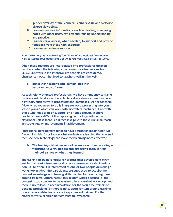gender diversity of the learners. Learners value and welcome diverse viewpoints.

- 8. Learners use new information over time, testing, comparing notes with other users, revising and refining understanding and practice.
- 9. Learners have access, when needed, to support and provide feedback from those with expertise.
- 10. Learners experience success.

*From: Collins, D. (1997).* Achieving Your Vision of Professional Development: How to Assess Your Needs and Get What You Want*. Tallahassee, FL: SERVE.*

When these features are incorporated into professional development and when the following common-sense observations from SEIR◆TEC's work in the intensive site schools are considered, changes can occur that lead to teachers walking the walk.

### **a. Begin with teaching and learning, not with hardware and software.**

As technology-oriented professionals, we have a tendency to frame professional development and technical assistance around technology tools, such as word processing and databases. We tell teachers, "Now, what you need to do is integrate word processing into your lesson plans," which can work with motivated teachers but not with those who need a lot of support (or a gentle shove). In short, teachers have a difficult time applying technology skills in the classroom unless there is a direct linkage with the curriculum, teaching strategies, or improvements in achievement.

Professional development tends to have a stronger impact when we frame it like this: "Let's look at what students are learning this year and then see how technology can make their learning more effective."

### **b. The training-of-trainers model means more than providing a workshop to a few people and expecting them to train their colleagues on what they learned.**

The training-of-trainers model for professional development might just be the most misunderstood or misrepresented model in education. Quite often, it is interpreted as one or two people delivering a workshop in which the participants are supposed to acquire the content knowledge and training skills needed for conducting turnaround training. Unfortunately, this seldom works because (a) the content is too complex to be mastered in a one-shot workshop, and there is no follow-up accommodation for the would-be trainers to become proficient; (b) there is no support for turn-around training; or (c) the would-be trainers are inexperienced trainers. For the model to work, all three barriers must be overcome.

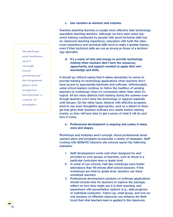### **c. Use teachers as mentors and coaches.**

Teachers teaching teachers is usually more effective than technology specialists teaching teachers. Although we have seen some topnotch training conducted by people with good technical skills but no classroom teaching experience, educators with both the classroom experience and technical skills tend to make a greater impact, even if their technical skills are not as strong as those of a technology specialist.

**d. It's a waste of time and energy to provide technology training when teachers don't have the resources, opportunity, and support needed to apply their new knowledge and skills.**

It should go without saying that it makes absolutely no sense to provide training on technology applications when teachers don't have access to appropriate hardware and software. Unfortunately, some school leaders continue to follow the tradition of sending teachers to workshops when it's convenient rather than when it's logical. All too many districts hold training during the summer even though teachers won't have the technology or support materials until January. On the other hand, districts with effective programs tend to use more thoughtful approaches, such as a district in Georgia that gives their teachers software two weeks before training events, so they will have time to get a sense of what it will do and how it works.

**e. Professional development is ongoing and comes in many sizes and shapes.**

Workshops and institutes aren't enough. Good professional development plans and programs incorporate a variety of strategies. Staff working with SEIR◆TEC intensive site schools report the following examples:

- 1. Staff development works well when designed for and provided to core groups of teachers, such as those in a particular curriculum area or grade level.
- 2. In some of our schools, half-day workshops have better attendance than 90-minute after-school sessions. If the workshops are held by grade level, teachers can share substitute teachers.
- 3. Professional development sessions on software applications should include time for teachers to explore the package, reflect on how they might use it in their teaching, and experiment with presentation options (e.g., data projector or individual computer). Follow-up, small group, and one-onone sessions on effective classroom use enhance the likelihood that what teachers learn is applied in the classroom.

Workshops and institutes aren't enough. Good professional development plans and programs incorporate a variety of strategies.

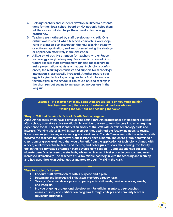- 4. Helping teachers and students develop multimedia presentations for their local school board or PTA not only helps them tell their story but also helps them develop technology proficiency.
- 5. Teachers are motivated by staff development credit. One district awards credit when teachers complete a workshop, hand in a lesson plan integrating the new teaching strategy or software application, and are observed using the strategy or application effectively in the classroom.
- 6. A little bit of positive attention for teachers who embrace technology can go a long way. For example, when administrators allocate staff development funding for teachers to make presentations at state or national technology conferences, the resulting enthusiasm and support for technology integration is dramatically increased. Another reward strategy is to give technology-using teachers first dibs on new technologies in the school. It can cause bruised feelings in the short run but seems to increase technology use in the long run.

### **Lesson 4—No matter how many computers are available or how much training teachers have had, there are still substantial numbers who are "talking the talk" but not "walking the walk."**

### **Story to Tell: Halifax Middle School, South Boston, Virginia**

Although teachers often have a difficult time sitting through professional development activities after school, educators at Halifax Middle School found a way to turn the time into an energizing experience for all. They first identified members of the staff with certain technology skills and interests. Working with a SEIR◆TEC staff member, they assigned the faculty members to teams. Some were subject teams; some were grade level teams. The staff members with the selected skills became the teachers for interactive work sessions once a month. The entire group determined a classroom or grade level need that would benefit from the application of technology. Armed with a need, a fellow teacher to teach and mentor, and colleagues to share the learning, the faculty began their re-formatted afternoon staff development session . . . and experienced success! The ultimate beneficiaries were the students, whose achievement test scores in core content areas increased dramatically. The teachers at Halifax Middle had begun with the teaching and learning and had used their own colleagues as mentors to begin "walking the walk."

### **Ways to Apply this Lesson**

- 1. Conduct staff development with a purpose and a plan.
- 2. Determine and leverage skills that staff members already have.
- 3. Tailor professional development to participants' skill levels, curriculum areas, needs, and interests.

 $\leftrightarrow$ 

4. Provide ongoing professional development by utilizing mentors, peer coaches, online courses, and certification programs through colleges and university teacher education programs.

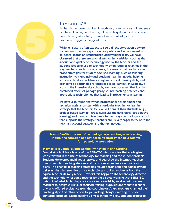### Lesson #5

*5*

Effective use of technology requires changes in teaching; in turn, the adoption of a new teaching strategy can be a catalyst for technology integration.

While legislators often expect to see a direct correlation between the amount of money spent on computers and improvement in students' scores on standardized achievement tests, we have observed that there are several intervening variables, such as the amount and quality of technology use by the teacher and the student. Effective use of technology often requires changes in the way teachers teach. In many cases, this means that teachers embrace strategies for student-focused learning, such as tailoring instruction to meet individual students' learning needs, helping students develop problem solving and critical thinking skills, and providing opportunities for project-based learning. In SEIR◆TEC's work in the intensive site schools, we have observed that it is the combined effect of pedagogically sound teaching practices and appropriate technologies that lead to improvements in learning.

We have also found that when professional development and technical assistance start with a particular teaching or learning strategy that the teachers believe will benefit their students (e.g., project-based learning, cross-curricular thematic units, cooperative learning) and then help teachers discover ways technology is a tool that supports the strategy, teachers are usually eager to try both the new instructional strategy and the technology.

**Lesson 5—Effective use of technology requires changes in teaching; in turn, the adoption of a new teaching strategy can be a catalyst for technology integration.**

### **Story to Tell: Central Middle School, Whiteville, North Carolina**

Central Middle School is one of the SEIR◆TEC intensive sites that made giant leaps forward in the use of technology for teaching and for student projects. Students developed multimedia reports and searched the Internet; teachers used computer teaching stations and incorporated websites in their lesson plans. The change in teaching strategies resulted from staff and administrators believing that the effective use of technology required a change from the typical teacher delivery mode. How did this happen? The technology director and the technology resource teacher for the district, working with SEIR◆TEC, determined what technology resources were available, worked with several teachers to design curriculum-focused training, supplied appropriate technology, and offered assistance from the coordinator. A few teachers changed their teaching style first. Then others began making changes, moving to studentcentered, problem-based learning using technology. Now, students expect to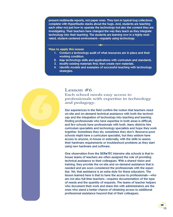present multimedia reports, not paper ones. They turn in typical bug collections complete with HyperStudio stacks about the bugs. And, students are teaching each other not just how to operate the technology but also the content they are investigating. Their teachers have changed the way they teach as they integrate technology into their teaching. The students are learning now in a highly motivated, student-centered environment—regularly using technology.

### **Ways to Apply this Lesson**

1. Conduct a technology audit of what resources are in place and their working condition.

◆ ◆ ◆

- 2. Map technology skills and applications with curriculum and standards.
- 3. Modify existing materials first; then create new materials.
- 4. Identify models and examples of successful teaching with technology strategies.



### Lesson #6

Each school needs easy access to professionals with expertise in technology and pedagogy.

Our experiences in the field confirm the notion that teachers need on-site and on-demand technical assistance with both the technology and the integration of technology into teaching and learning. Finding professionals who have expertise in both areas is difficult, and few schools have professionals with both. Many districts hire curriculum specialists and technology specialists and hope they work together. Sometimes they do; sometimes they don't. Resource-poor schools might have a curriculum specialist, but they seldom have access to anyone, in-house or externally, with the skills to assess their hardware requirements or troubleshoot problems as they start using new hardware and software.

One observation from the SEIR◆TEC intensive site schools is that inhouse teams of teachers are often assigned the role of providing technical assistance to their colleagues. With a shared vision and training, they provide the on-site and on-demand assistance that is needed and are soon considered the professionals with the expertise. Yet, that assistance is an extra duty for these educators. The lesson learned here is that to have the access to professionals—who are not also full-time teachers—requires documentation of the type of needs and the quantity of requests. The teams of teacher helpers who document their work and share this with administrators are the ones who stand a better chance of obtaining access to additional professional assistance beyond that of their colleagues.

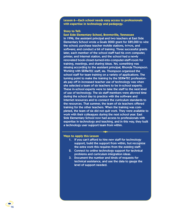**Lesson 6—Each school needs easy access to professionals with expertise in technology and pedagogy.**

### **Story to Tell:**

**East Side Elementary School, Brownsville, Tennessee** In 1996, the assistant principal and two teachers at East Side Elementary School wrote a Goals 2000 grant for \$89,000 to wire the school; purchase teacher mobile stations, tv/vcrs, and software; and conduct a bit of training. Three successful grants later, each member of the school staff had his own computer, printer, and Internet station, and the school had a newly renovated book-closet-turned-into-computer-staff-room for training, meetings, and sharing ideas. Yet, something was missing according to the assistant principal, Rhonda Thompson. Working with SEIR◆TEC staff, Ms. Thompson organized the school staff for team training on a variety of applications. The turning point to make the training by the SEIR◆TEC professionals pay off in increased teacher use of technology was when she selected a team of six teachers to be in-school experts. These in-school experts were to take the staff to the next level of use of technology. The six staff members were allowed time during the school day to practice with the software and Internet resources and to connect the curriculum standards to the resources. That summer, the team of six teachers offered training for the other teachers. When the training was completed, the team of six did not quit work. They were available to work with their colleagues during the next school year. East Side Elementary School now had access to professionals with expertise in technology and teaching, and in this way, they built a technology user support team from within.

### **Ways to Apply this Lesson**

16

1. If you can't afford to hire new staff for technology support, build the support from within, but recognize the extra work this requires from the existing staff.

◆ ◆ ◆

- 2. Connect to online technology support for technical problems and curriculum integration ideas.
- 3. Document the number and kinds of requests for technical assistance, and use the data to gauge the level of support needed.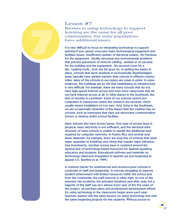

Lesson #7

Barriers to using technology to support learning are the same for all poor communities, but some populations have additional issues.

It is very difficult to focus on integrating technology to support learning if you cannot overcome basic technological equipment and facilities issues. Insufficient number of electrical outlets...No furniture for the equipment...Facility structural and environmental problems that prevent placement of network cabling...Limited or no security for the building and the equipment...No secured room for a lab...Leaking roofs...And, the list goes on. In getting the basics in place, schools that serve students in economically disadvantaged areas typically have greater barriers than schools in affluent communities. Many of the schools in our region are cases in point. In some instances, the buildings are so old that establishing an infrastructure is very difficult. For example, there are many schools that do not have high-speed Internet access and even more classrooms that do not have Internet access at all. In other places in the Southeast, the lack of security is a problem. Some of our schools cannot put computers in classrooms unless the windows are secured, which usually means installation of iron bars. And, living in the Southeast, we are occasionally reminded of the impact that the weather has on schools, such as hurricanes that wipe out microwave communication towers or destroy entire school facilities.

Many schools also have access issues. One type of access issue is physical: basic electricity is not sufficient, and the electrical infrastructure of many schools is unable to handle the additional load required by computer networks. In Puerto Rico and several rural areas stateside, for example, there are long lists of schools that need major upgrades to buildings and wiring that require major infrastructure investments. Another access issue is centered around the general lack of technology-based resources for Spanish-speaking educators and students. Educational software and materials on technology classroom integration in Spanish are just beginning to appear (cf., Boethel et al, 1999).

A common barrier for underserved and resource-poor schools is continuity of staff and leadership. In schools struggling to improve student achievement with limited resources within the school and from the community, the staff turnover is often high. At one of the intensive site locations, the principal remained year after year, but a majority of the staff was new almost every year of the five years of the project. All previous plans and professional development efforts for using technology in the classrooms began anew each year. Teachers started with the same lessons on using technology and with the same beginning projects for the students. Without access to

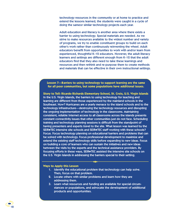technology resources in the community or at home to practice and extend the lessons learned, the students were caught in a cycle of doing the sameor similar technology projects each year.

Adult education and literacy is another area where there exists a barrier to using technology. Special materials are needed. As we strive to make resources available to the widest number and variety of programs, we try to enable constituent groups to build on each other's work rather than continuously reinventing the wheel. Adult educators benefit from opportunities to work with and/or learn from experienced, thoughtful K–12 educators. However, the adult literacy learners and settings are different enough from K–12 that the adult educators find that they also need to take these learnings and resources and then rethink and re-purpose them to create methods and materials that can be effective in their own instructional settings.

**Lesson 7—Barriers to using technology to support learning are the same for all poor communities, but some populations have additional issues.**

**Story to Tell: Ricardo Richards Elementary School, St. Croix, U.S. Virgin Islands** In the U.S. Virgin Islands, the barriers to using technology for teaching and learning are different from those experienced by the mainland schools in the Southeast. How? Hurricanes are a yearly menace to the island schools and to the technology infrastructure—destroying the technology resources and disrupting the ongoing implementation of technology in the classrooms. Maintaining consistent, reliable Internet access to all classrooms across the islands presents constant connectivity issues that other communities just do not face. Scheduling training and technology planning sessions is difficult from the standpoint of having presenters and experts travel to the site. What lesson was learned by the SEIR◆TEC intensive site schools and SEIR◆TEC staff working with these schools? Focus. Focus technology planning on educational barriers and problems that can be solved with technology. Focus professional development to maximize and extend the existing staff technology skills before expanding to new ideas. Focus on building a core of learners who can sustain the initiatives and new ideas between the visits by the experts and the technical assistance providers. By focusing efforts in these ways, SEIR◆TEC assisted the intensive site schools on the U.S. Virgin Islands in addressing the barriers special to their setting.

### **Ways to Apply this Lesson**

1. Identify the educational problem that technology can help solve. Then, focus on that problem.

◆ ◆ ◆

- 2. Locate others with similar problems and learn how they are addressing them.
- 3. Learn what resources and funding are available for special circumstances or populations, and advocate the development of additional products and opportunities.

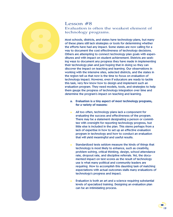## *8*

### Lesson #8 Evaluation is often the weakest element of technology programs.

Most schools, districts, and states have technology plans, but many of these plans still lack strategies or tools for determining whether the efforts have had any impact. Some states are now calling for a way to document the cost effectiveness of technology decisions. Others are attempting to connect technology plan goals with expenditures and with impact on student achievement. Districts are seeking ways to document any progress they have made in implementing their technology plan and just hoping that in doing so they can discover the impact on teaching and learning. Our observations in working with the intensive sites, selected districts, and the states in the region tell us that now is the time to focus on evaluation of technology impact. However, even if educators are ready to tackle this task, very few know how to design and implement such an evaluation program. They need models, tools, and strategies to help them gauge the progress of technology integration over time and determine the program's impact on teaching and learning.

- **a. Evaluation is a tiny aspect of most technology programs, for a variety of reasons:**
- All too often, technology plans lack a component for evaluating the success and effectiveness of the program. There may be a statement designating a person or committee with oversight for reporting technology progress, but little else is included in the plan. This stems perhaps from a lack of expertise in how to set up an effective evaluation program in technology and how to conduct an evaluation that will yield meaningful and useful results.
- Standardized tests seldom measure the kinds of things that technology is most likely to enhance, such as creativity, problem solving, critical thinking, design, school attendance rate, dropout rate, and discipline referrals. Yet, the documented impact on test scores as the result of technology use is what many political and community leaders are requiring. How to accomplish this daunting task of matching expectations with actual outcomes stalls many evaluations of technology's progress and impact.
- Evaluation is both an art and a science requiring substantial levels of specialized training. Designing an evaluation plan can be an intimidating process.

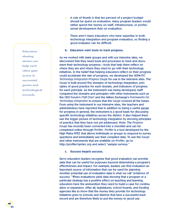- A rule of thumb is that ten percent of a project budget should be spent on evaluation. Many program leaders would rather spend the money on staff, infrastructure, or professional development than on evaluation.
- There aren't many educators who have expertise in both technology integration and program evaluation, so finding a good evaluator can be difficult.
- **b. Educators want tools to track progress.**

As we worked with state groups and with our intensive sites, we discovered that they need tools and processes to track and document their technology progress—tools that help them reflect on where they are and where they need to go with their technology initiatives. In the belief that helping educators reflect on their progress could accelerate the rate of progress, we developed the *SEIR*◆*TEC Technology Integration Progress Gauge* for use in the intensive sites. The *Gauge* is built around five domains of technology integration, principles of good practice for each domain, and indicators of progress for each principle. As the instrument was being developed, staff compared the domains and principles with other instruments such as the CEO Forum's *STaR Chart* and the Milken Exchange's *Frameworks for Technology Integration* to ensure that the *Gauge* covered all the bases. From using the instrument in our intensive sites, the teachers and administrators have reported that in addition to being a useful gauge for progress in general, the instrument is a good basis for discussing specific technology initiatives across the district. It also helped them see the bigger picture of technology integration by showing principles of practice that they have not yet addressed. Note: The *Progress Gauge* has recently been converted into a checklist and can be completed online through *Profiler*. *Profiler* is a tool developed by the High Plains RTEC that allows individuals or groups to respond to survey questions and immediately see their compiled data. To see the *Gauge* and other instruments that are available on *Profiler*, go to http://profiler.hprtec.org and select "sample surveys."

### **c. Success begets success.**

Savvy education leaders recognize that good evaluation can provide data that can be useful for purposes beyond determining a program's effectiveness and impact. For example, leaders can find evaluation an important source of information that can be used for planning. Another potential use of evaluation data is what we call "evidence of success." When evaluations yield data showing that a program or a particular strategy has a positive effect on teaching and learning, educators have the ammunition they need to build a case for continuation or expansion. After all, legislatures, school boards, and funding agencies like to know that the money they provide for technology initiatives goes to schools and districts that have a successful track record and are therefore likely to put the money to good use.

**Educators** sharing stories can help each other gain access to successful grants and technological rewards.

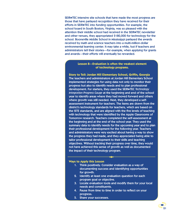SEIR◆TEC intensive site schools that have made the most progress are those that have parlayed recognition they have received for their efforts in SEIR◆TEC into funding opportunities. For example, the school board in South Boston, Virginia, was so pleased with the attention their middle school had received in the SEIR◆TEC newsletter and other venues, they appropriated \$180,000 for technology for the school. Booneville Middle School in Mississippi parlayed the awards received by math and science teachers into a multi-million-dollar environmental learning center. It may take a while, but if teachers and administrators tell their stories—for example, when applying for grants and awards—their efforts will eventually be rewarded.

### **Lesson 8—Evaluation is often the weakest element of technology programs.**

**Story to Tell: Jordan Hill Elementary School, Griffin, Georgia** The teachers and administrators at Jordan Hill Elementary School implemented strategies for using data not only to monitor their progress but also to identify needs and to plan professional development. For starters, they used the SEIR◆TEC *Technology Integration Progress Gauge* at the beginning and end of the school year to identify areas where they had moved forward and others where growth was still needed. Next, they developed a selfassessment instrument for teachers. The items are drawn from the district's technology standards for teachers, which are based on the ISTE standards, and are aligned with the five levels of teaching with technology that were identified by the Apple Classrooms of Tomorrow research. Teachers completed the self-assessment at the beginning and at the end of the school year. They used the summary data to identify needs for the upcoming year and to plan their professional development for the following year. Teachers and administrators were very excited about having a way to show the progress they had made, and they appreciated being able to tailor professional development to their skills and teaching objectives. Without tracking their progress over time, they would not have achieved this sense of growth as well as documented the impact of their technology program.

### **Ways to Apply this Lesson**

1. Think positively. Consider evaluation as a way of documenting success and identifying opportunities for growth.

◆ ◆ ◆

- 2. Identify at least one evaluation question for each program goal or objective.
- 3. Locate evaluation tools and modify them for your local needs and constituents.
- 4. Pause from time to time in order to reflect on your progress.
- 5. Share your successes.

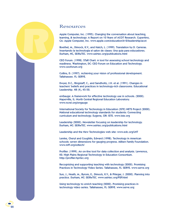# *R*

00

### Resources

Apple Computer, Inc. (1995). Changing the conversation about teaching, learning, & technology: A Report on 10 Years of ACOT Research. Cupertino, CA: Apple Computer, Inc. www.apple.com/education/k12/leadership/acot

Boethel, M., Dimock, K.V., and Hatch, L. (1999). Translation by D. Carreras. Insertando la technologia el salon de clases: Una guia para educadores. Durham, NC, SEIR◆TEC. www.seirtec.org/publications.html

CEO Forum. (1998). STaR Chart: A tool for assessing school technology and readiness. Washington, DC: CEO Forum on Education and Technology. www.ceoforum.org

Collins, D. (1997). Achieving your vision of professional development. Tallahassee. FL: SERVE.

Dwyer, D.C., Ringstaff, C., and Sandholtz, J.H. et al. (1991). Changes in teachers' beliefs and practices in technology-rich classrooms. Educational Leadership. 48 (4), 45-52.

enGauge: A framework for effective technology use in schools. (2000). Naperville, IL: North Central Regional Education Laboratory. www.ncrel.org/engauge

International Society for Technology in Education (ISTE) NETS Project (2000). National educational technology standards for students: Connecting curriculum and technology. Eugene, OR: ISTE. www.iste.org

Leadership (2000). Newsletter focusing on leadership for technology. Durham, NC: SEIR◆TEC. www.seirtec.org/publications.html

Leadership and the New Technologies web site: www.edc.org/LNT

Lemke, Cheryl and Coughlin, Edward (1998). Technology in American schools: seven dimensions for gauging progress. Milken Family Foundation. www.mff.org/edtech/

Profiler. (1999). An on-line tool for data collection and analysis. Lawrence, KS: High Plains Regional Technology in Education Consortium. http://profiler.hprtec.org

Recognizing and supporting teaching with technology (2000). Promising Practices in Technology Video Series. Tallahassee, FL: SERVE. www.serve.org

Sun, J., Heath, M., Byrom, E., Dimock, K.V., & Phlegar, J. (2000). Planning into practice. Durham, NC: SEIR◆TEC. www.seirtec.org/P2P.html

Using technology to enrich teaching (2000). Promising practices in technology video series. Tallahassee, FL: SERVE. www.serve.org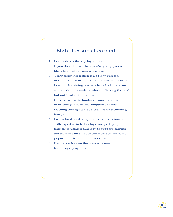### Eight Lessons Learned:

- 1. Leadership is the key ingredient.
- 2. If you don't know where you're going, you're likely to wind up somewhere else.
- 3. Technology integration is a s-l-o-w process.
- 4. No matter how many computers are available or how much training teachers have had, there are still substantial numbers who are "talking the talk" but not "walking the walk."
- 5. Effective use of technology requires changes in teaching; in turn, the adoption of a new teaching strategy can be a catalyst for technology integration.
- 6. Each school needs easy access to professionals with expertise in technology and pedagogy.
- 7. Barriers to using technology to support learning are the same for all poor communities, but some populations have additional issues.
- 8. Evaluation is often the weakest element of technology programs.

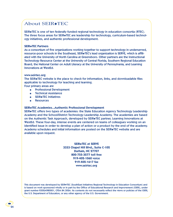### About SEIR◆TEC

SEIR◆TEC is one of ten federally funded regional technology in education consortia (RTEC). The three focus areas for SEIR◆TEC are leadership for technology, curriculum-based technology initiatives, and authentic professional development.

### **SEIR**◆**TEC Partners**

As a consortium of five organizations working together to support technology in underserved, resource-poor schools in the Southeast, SEIR◆TEC's lead organization is SERVE, which is affiliated with the University of North Carolina at Greensboro. Other partners are the Instructional Technology Resource Center at the University of Central Florida, Southern Regional Education Board, the National Center on Adult Literacy at the University of Pennsylvania, and Learning Innovations at WestEd.

### **www.seirtec.org**

The SEIR◆TEC website is the place to check for information, links, and downloadable files applicable to technology for teaching and learning.

Four primary areas are

- Professional Development
- **Technical Assistance**
- SEIR◆TEC Initiatives
- **Resources**

### **SEIR**◆**TEC Academies...Authentic Professional Development**

SEIR◆TEC offers two types of academies: the State Education Agency Technology Leadership Academy and the School/District Technology Leadership Academy. The academies are based on the Authentic Task Approach, developed by SEIR◆TEC partner, Learning Innovations at WestEd. These four-day, intense events are centered on teams of colleagues working on an identified issue in order to develop a plan of action or a product by the end of the academy. Academy schedules and initial information are posted on the SEIR◆TEC website and are available upon request.

> **SEIR**◆**TEC at SERVE 3333 Chapel Hill Blvd., Suite C-102 Durham, NC 27707 800-755-3277 toll free 919-402-1060 voice 919-402-1617 fax www.seirtec.org**

This document was developed by SEIR◆TEC (SouthEast Initiatives Regional Technology in Education Consortium) and is based on work sponsored wholly or in part by the Office of Educational Research and Improvement (OERI), under grant number R302A980001, CFDA 84.302A. Its contents do not necessarily reflect the views or policies of the OERI, the U.S. Department of Education, or any other agency of the U.S. Government.